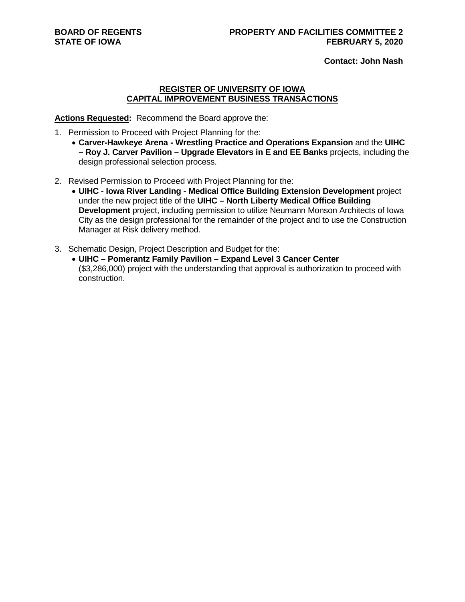**Contact: John Nash**

#### **REGISTER OF UNIVERSITY OF IOWA CAPITAL IMPROVEMENT BUSINESS TRANSACTIONS**

**Actions Requested:** Recommend the Board approve the:

- 1. Permission to Proceed with Project Planning for the:
	- **Carver-Hawkeye Arena - Wrestling Practice and Operations Expansion** and the **UIHC – Roy J. Carver Pavilion – Upgrade Elevators in E and EE Banks** projects, including the design professional selection process.
- 2. Revised Permission to Proceed with Project Planning for the:
	- **UIHC - Iowa River Landing - Medical Office Building Extension Development** project under the new project title of the **UIHC – North Liberty Medical Office Building Development** project, including permission to utilize Neumann Monson Architects of Iowa City as the design professional for the remainder of the project and to use the Construction Manager at Risk delivery method.
- 3. Schematic Design, Project Description and Budget for the:
	- **UIHC – Pomerantz Family Pavilion – Expand Level 3 Cancer Center**  (\$3,286,000) project with the understanding that approval is authorization to proceed with construction.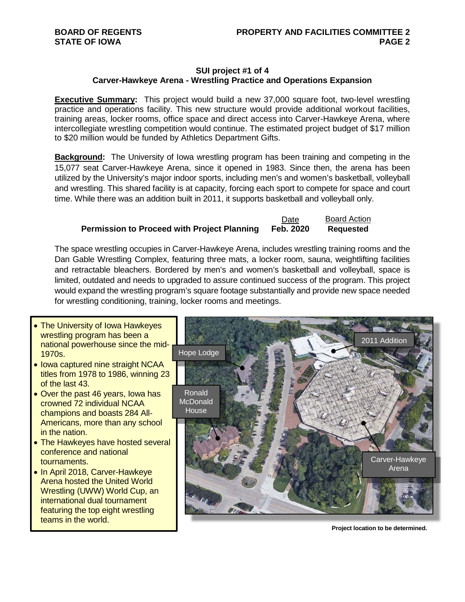# **SUI project #1 of 4 Carver-Hawkeye Arena - Wrestling Practice and Operations Expansion**

**Executive Summary:** This project would build a new 37,000 square foot, two-level wrestling practice and operations facility. This new structure would provide additional workout facilities, training areas, locker rooms, office space and direct access into Carver-Hawkeye Arena, where intercollegiate wrestling competition would continue. The estimated project budget of \$17 million to \$20 million would be funded by Athletics Department Gifts.

**Background:** The University of Iowa wrestling program has been training and competing in the 15,077 seat Carver-Hawkeye Arena, since it opened in 1983. Since then, the arena has been utilized by the University's major indoor sports, including men's and women's basketball, volleyball and wrestling. This shared facility is at capacity, forcing each sport to compete for space and court time. While there was an addition built in 2011, it supports basketball and volleyball only.

## Date **Board Action Permission to Proceed with Project Planning Feb. 2020 Requested**

The space wrestling occupies in Carver-Hawkeye Arena, includes wrestling training rooms and the Dan Gable Wrestling Complex, featuring three mats, a locker room, sauna, weightlifting facilities and retractable bleachers. Bordered by men's and women's basketball and volleyball, space is limited, outdated and needs to upgraded to assure continued success of the program. This project would expand the wrestling program's square footage substantially and provide new space needed for wrestling conditioning, training, locker rooms and meetings.

- The University of Iowa Hawkeyes wrestling program has been a national powerhouse since the mid-1970s.
- Iowa captured nine straight NCAA titles from 1978 to 1986, winning 23 of the last 43.
- Over the past 46 years, Iowa has crowned 72 individual NCAA champions and boasts 284 All-Americans, more than any school in the nation.
- The Hawkeyes have hosted several conference and national tournaments.
- In April 2018, Carver-Hawkeye Arena hosted the United World Wrestling (UWW) World Cup, an international dual tournament featuring the top eight wrestling teams in the world.



**Project location to be determined.**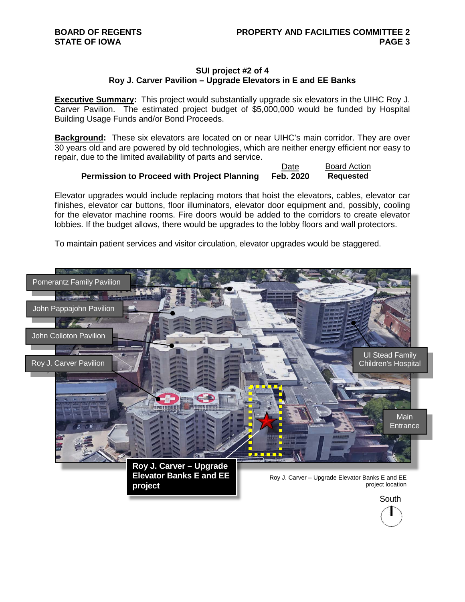## **SUI project #2 of 4 Roy J. Carver Pavilion – Upgrade Elevators in E and EE Banks**

**Executive Summary:** This project would substantially upgrade six elevators in the UIHC Roy J. Carver Pavilion. The estimated project budget of \$5,000,000 would be funded by Hospital Building Usage Funds and/or Bond Proceeds.

**Background:** These six elevators are located on or near UIHC's main corridor. They are over 30 years old and are powered by old technologies, which are neither energy efficient nor easy to repair, due to the limited availability of parts and service.

|                                                    | Date      | <b>Board Action</b> |
|----------------------------------------------------|-----------|---------------------|
| <b>Permission to Proceed with Project Planning</b> | Feb. 2020 | <b>Requested</b>    |

Elevator upgrades would include replacing motors that hoist the elevators, cables, elevator car finishes, elevator car buttons, floor illuminators, elevator door equipment and, possibly, cooling for the elevator machine rooms. Fire doors would be added to the corridors to create elevator lobbies. If the budget allows, there would be upgrades to the lobby floors and wall protectors.

To maintain patient services and visitor circulation, elevator upgrades would be staggered.

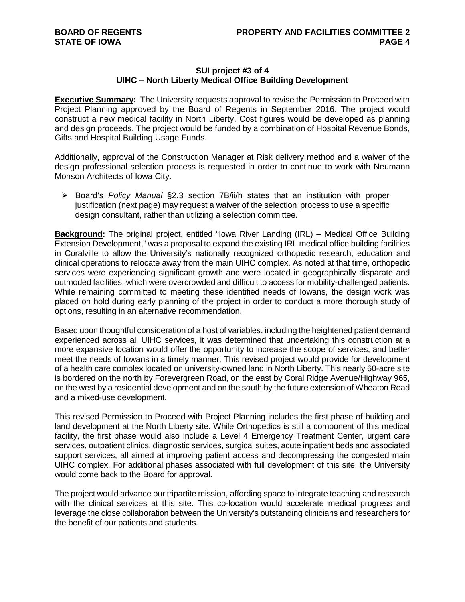## **SUI project #3 of 4 UIHC – North Liberty Medical Office Building Development**

**Executive Summary:** The University requests approval to revise the Permission to Proceed with Project Planning approved by the Board of Regents in September 2016. The project would construct a new medical facility in North Liberty. Cost figures would be developed as planning and design proceeds. The project would be funded by a combination of Hospital Revenue Bonds, Gifts and Hospital Building Usage Funds.

Additionally, approval of the Construction Manager at Risk delivery method and a waiver of the design professional selection process is requested in order to continue to work with Neumann Monson Architects of Iowa City.

 Board's *Policy Manual* §2.3 section 7B/ii/h states that an institution with proper justification (next page) may request a waiver of the selection process to use a specific design consultant, rather than utilizing a selection committee.

**Background:** The original project, entitled "Iowa River Landing (IRL) – Medical Office Building Extension Development," was a proposal to expand the existing IRL medical office building facilities in Coralville to allow the University's nationally recognized orthopedic research, education and clinical operations to relocate away from the main UIHC complex. As noted at that time, orthopedic services were experiencing significant growth and were located in geographically disparate and outmoded facilities, which were overcrowded and difficult to access for mobility-challenged patients. While remaining committed to meeting these identified needs of Iowans, the design work was placed on hold during early planning of the project in order to conduct a more thorough study of options, resulting in an alternative recommendation.

Based upon thoughtful consideration of a host of variables, including the heightened patient demand experienced across all UIHC services, it was determined that undertaking this construction at a more expansive location would offer the opportunity to increase the scope of services, and better meet the needs of Iowans in a timely manner. This revised project would provide for development of a health care complex located on university-owned land in North Liberty. This nearly 60-acre site is bordered on the north by Forevergreen Road, on the east by Coral Ridge Avenue/Highway 965, on the west by a residential development and on the south by the future extension of Wheaton Road and a mixed-use development.

This revised Permission to Proceed with Project Planning includes the first phase of building and land development at the North Liberty site. While Orthopedics is still a component of this medical facility, the first phase would also include a Level 4 Emergency Treatment Center, urgent care services, outpatient clinics, diagnostic services, surgical suites, acute inpatient beds and associated support services, all aimed at improving patient access and decompressing the congested main UIHC complex. For additional phases associated with full development of this site, the University would come back to the Board for approval.

The project would advance our tripartite mission, affording space to integrate teaching and research with the clinical services at this site. This co-location would accelerate medical progress and leverage the close collaboration between the University's outstanding clinicians and researchers for the benefit of our patients and students.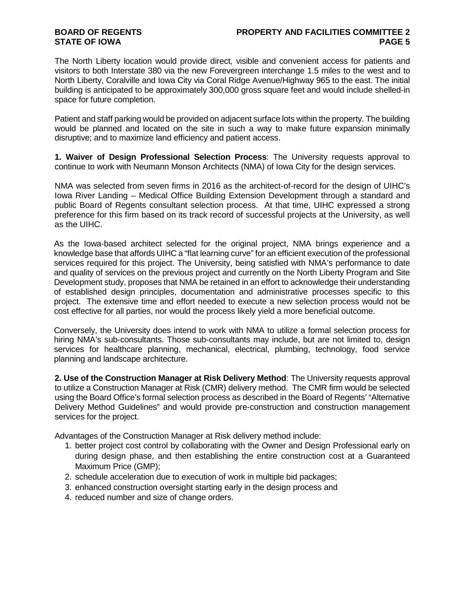# **BOARD OF REGENTS STATE OF IOWA**

## **PROPERTY AND FACILITIES COMMITTEE 2 PAGE 5**

The North Liberty location would provide direct, visible and convenient access for patients and visitors to both Interstate 380 via the new Forevergreen interchange 1.5 miles to the west and to North Liberty, Coralville and Iowa City via Coral Ridge Avenue/Highway 965 to the east. The initial building is anticipated to be approximately 300,000 gross square feet and would include shelled-in space for future completion.

Patient and staff parking would be provided on adjacent surface lots within the property. The building would be planned and located on the site in such a way to make future expansion minimally disruptive; and to maximize land efficiency and patient access.

**1. Waiver of Design Professional Selection Process**: The University requests approval to continue to work with Neumann Monson Architects (NMA) of Iowa City for the design services.

NMA was selected from seven firms in 2016 as the architect-of-record for the design of UIHC's Iowa River Landing – Medical Office Building Extension Development through a standard and public Board of Regents consultant selection process. At that time, UIHC expressed a strong preference for this firm based on its track record of successful projects at the University, as well as the UIHC.

As the Iowa-based architect selected for the original project, NMA brings experience and a knowledge base that affords UIHC a "flat learning curve" for an efficient execution of the professional services required for this project. The University, being satisfied with NMA's performance to date and quality of services on the previous project and currently on the North Liberty Program and Site Development study, proposes that NMA be retained in an effort to acknowledge their understanding of established design principles, documentation and administrative processes specific to this project. The extensive time and effort needed to execute a new selection process would not be cost effective for all parties, nor would the process likely yield a more beneficial outcome.

Conversely, the University does intend to work with NMA to utilize a formal selection process for hiring NMA's sub-consultants. Those sub-consultants may include, but are not limited to, design services for healthcare planning, mechanical, electrical, plumbing, technology, food service planning and landscape architecture.

**2. Use of the Construction Manager at Risk Delivery Method**: The University requests approval to utilize a Construction Manager at Risk (CMR) delivery method. The CMR firm would be selected using the Board Office's formal selection process as described in the Board of Regents' "Alternative Delivery Method Guidelines" and would provide pre-construction and construction management services for the project.

Advantages of the Construction Manager at Risk delivery method include:

- 1. better project cost control by collaborating with the Owner and Design Professional early on during design phase, and then establishing the entire construction cost at a Guaranteed Maximum Price (GMP);
- 2. schedule acceleration due to execution of work in multiple bid packages;
- 3. enhanced construction oversight starting early in the design process and
- 4. reduced number and size of change orders.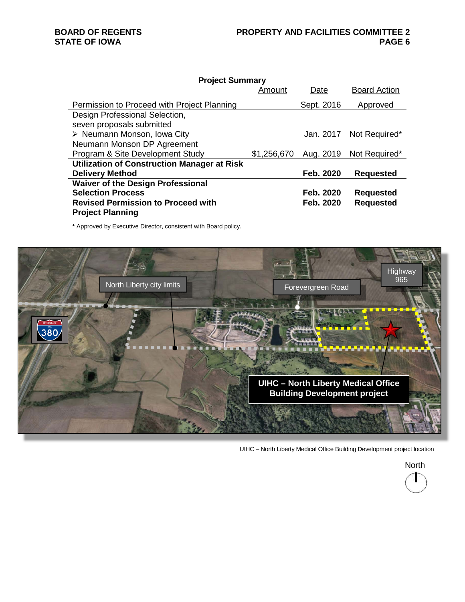| <b>Project Summary</b>                             |             |            |                         |  |
|----------------------------------------------------|-------------|------------|-------------------------|--|
|                                                    | Amount      | Date       | <b>Board Action</b>     |  |
| Permission to Proceed with Project Planning        |             | Sept. 2016 | Approved                |  |
| Design Professional Selection,                     |             |            |                         |  |
| seven proposals submitted                          |             |            |                         |  |
| $\triangleright$ Neumann Monson, Iowa City         |             |            | Jan. 2017 Not Required* |  |
| Neumann Monson DP Agreement                        |             |            |                         |  |
| Program & Site Development Study                   | \$1,256,670 | Aug. 2019  | Not Required*           |  |
| <b>Utilization of Construction Manager at Risk</b> |             |            |                         |  |
| <b>Delivery Method</b>                             |             | Feb. 2020  | <b>Requested</b>        |  |
| <b>Waiver of the Design Professional</b>           |             |            |                         |  |
| <b>Selection Process</b>                           |             | Feb. 2020  | <b>Requested</b>        |  |
| <b>Revised Permission to Proceed with</b>          |             | Feb. 2020  | <b>Requested</b>        |  |
| <b>Project Planning</b>                            |             |            |                         |  |

**\*** Approved by Executive Director, consistent with Board policy.



UIHC – North Liberty Medical Office Building Development project location

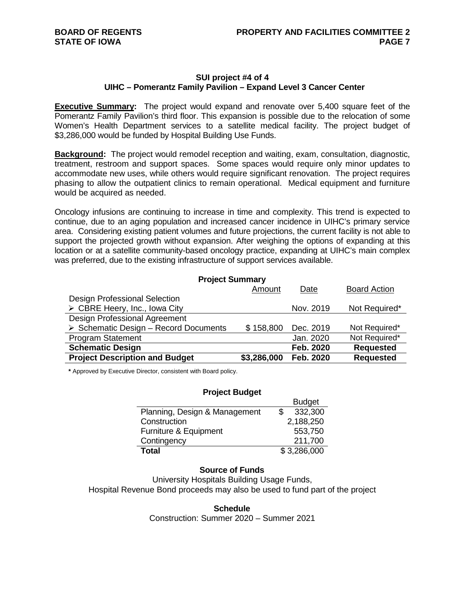# **SUI project #4 of 4 UIHC – Pomerantz Family Pavilion – Expand Level 3 Cancer Center**

**Executive Summary:** The project would expand and renovate over 5,400 square feet of the Pomerantz Family Pavilion's third floor. This expansion is possible due to the relocation of some Women's Health Department services to a satellite medical facility. The project budget of \$3,286,000 would be funded by Hospital Building Use Funds.

**Background:** The project would remodel reception and waiting, exam, consultation, diagnostic, treatment, restroom and support spaces. Some spaces would require only minor updates to accommodate new uses, while others would require significant renovation. The project requires phasing to allow the outpatient clinics to remain operational. Medical equipment and furniture would be acquired as needed.

Oncology infusions are continuing to increase in time and complexity. This trend is expected to continue, due to an aging population and increased cancer incidence in UIHC's primary service area. Considering existing patient volumes and future projections, the current facility is not able to support the projected growth without expansion. After weighing the options of expanding at this location or at a satellite community-based oncology practice, expanding at UIHC's main complex was preferred, due to the existing infrastructure of support services available.

| <b>Project Summary</b>                               |             |           |                     |  |  |
|------------------------------------------------------|-------------|-----------|---------------------|--|--|
|                                                      | Amount      | Date      | <b>Board Action</b> |  |  |
| Design Professional Selection                        |             |           |                     |  |  |
| $\triangleright$ CBRE Heery, Inc., Iowa City         |             | Nov. 2019 | Not Required*       |  |  |
| Design Professional Agreement                        |             |           |                     |  |  |
| $\triangleright$ Schematic Design - Record Documents | \$158,800   | Dec. 2019 | Not Required*       |  |  |
| <b>Program Statement</b>                             |             | Jan. 2020 | Not Required*       |  |  |
| <b>Schematic Design</b>                              |             | Feb. 2020 | <b>Requested</b>    |  |  |
| <b>Project Description and Budget</b>                | \$3,286,000 | Feb. 2020 | <b>Requested</b>    |  |  |

**\*** Approved by Executive Director, consistent with Board policy.

#### **Project Budget**

|                               | <b>Budget</b> |
|-------------------------------|---------------|
| Planning, Design & Management | 332,300       |
| Construction                  | 2,188,250     |
| Furniture & Equipment         | 553,750       |
| Contingency                   | 211,700       |
| <b>Total</b>                  | \$3,286,000   |

## **Source of Funds**

University Hospitals Building Usage Funds, Hospital Revenue Bond proceeds may also be used to fund part of the project

**Schedule**

Construction: Summer 2020 – Summer 2021